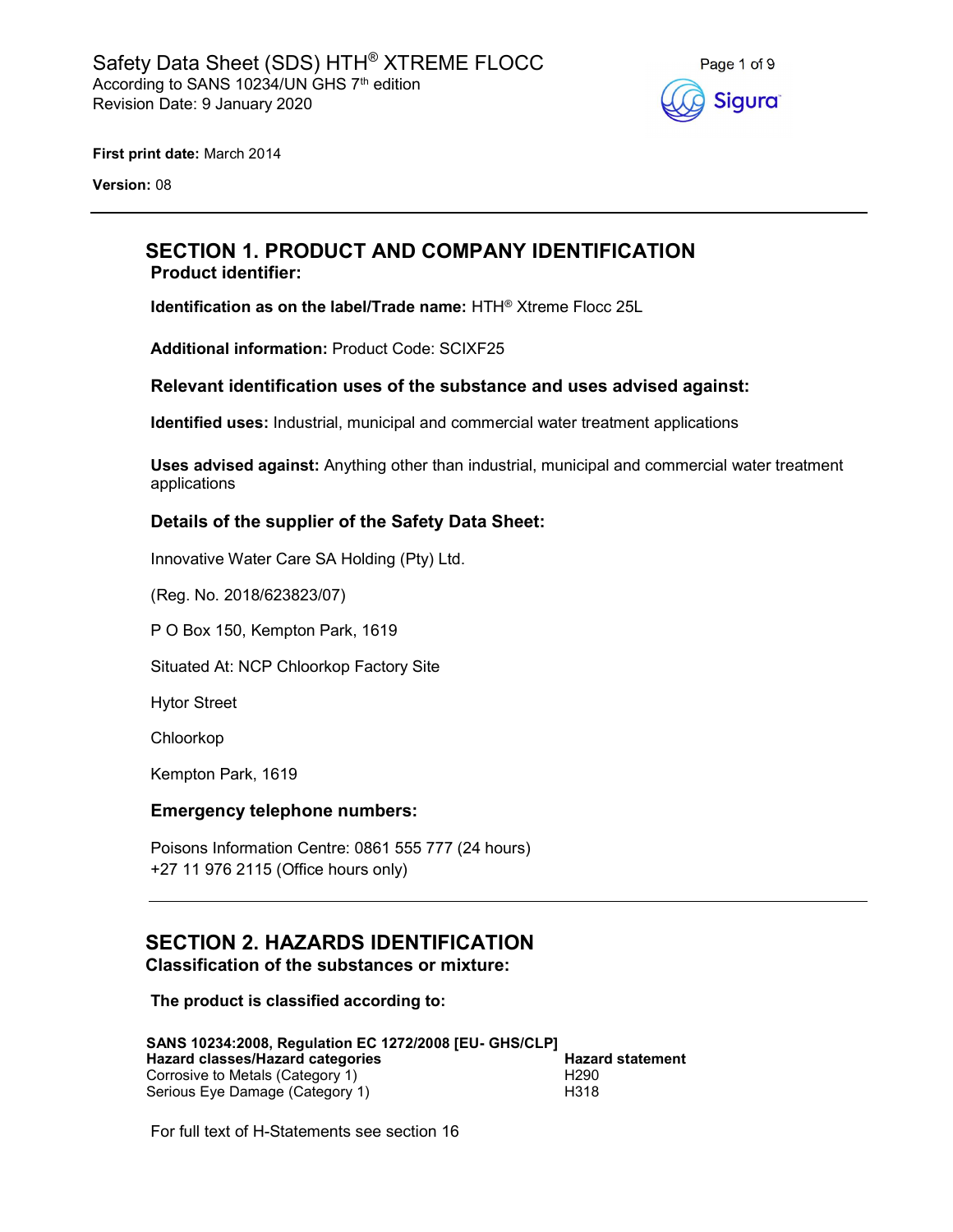

First print date: March 2014

Version: 08

## SECTION 1. PRODUCT AND COMPANY IDENTIFICATION Product identifier:

Identification as on the label/Trade name: HTH® Xtreme Flocc 25L

Additional information: Product Code: SCIXF25

### Relevant identification uses of the substance and uses advised against:

Identified uses: Industrial, municipal and commercial water treatment applications

Uses advised against: Anything other than industrial, municipal and commercial water treatment applications

### Details of the supplier of the Safety Data Sheet:

Innovative Water Care SA Holding (Pty) Ltd.

(Reg. No. 2018/623823/07)

P O Box 150, Kempton Park, 1619

Situated At: NCP Chloorkop Factory Site

Hytor Street

Chloorkop

Kempton Park, 1619

### Emergency telephone numbers:

Poisons Information Centre: 0861 555 777 (24 hours) +27 11 976 2115 (Office hours only)

### SECTION 2. HAZARDS IDENTIFICATION Classification of the substances or mixture:

The product is classified according to:

| SANS 10234:2008, Regulation EC 1272/2008 [EU- GHS/CLP] |                         |
|--------------------------------------------------------|-------------------------|
| Hazard classes/Hazard categories                       | <b>Hazard statement</b> |
| Corrosive to Metals (Category 1)                       | H <sub>290</sub>        |
| Serious Eye Damage (Category 1)                        | H318                    |

For full text of H-Statements see section 16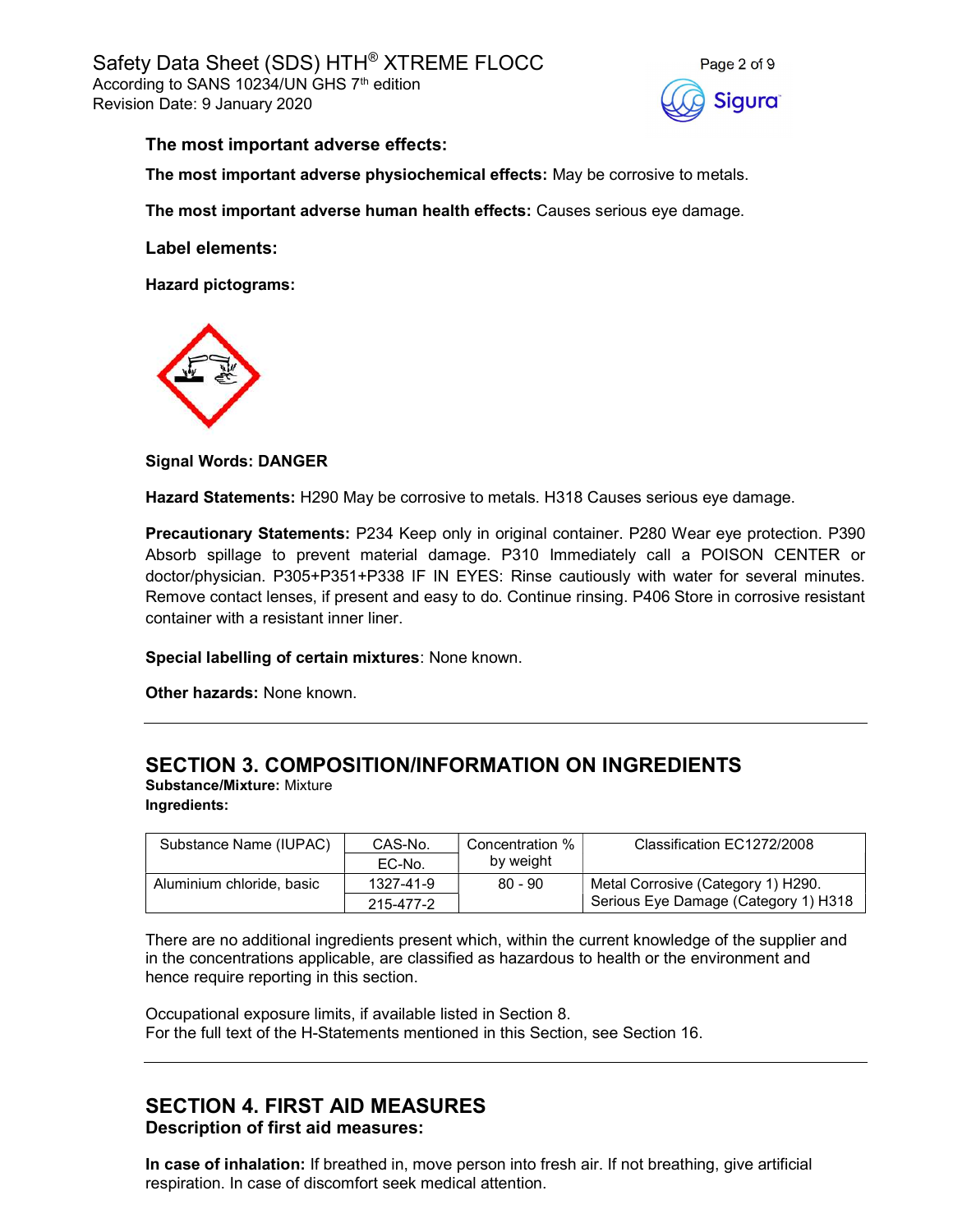

### The most important adverse effects:

The most important adverse physiochemical effects: May be corrosive to metals.

The most important adverse human health effects: Causes serious eye damage.

Label elements:

Hazard pictograms:



Signal Words: DANGER

Hazard Statements: H290 May be corrosive to metals. H318 Causes serious eye damage.

Precautionary Statements: P234 Keep only in original container. P280 Wear eye protection. P390 Absorb spillage to prevent material damage. P310 Immediately call a POISON CENTER or doctor/physician. P305+P351+P338 IF IN EYES: Rinse cautiously with water for several minutes. Remove contact lenses, if present and easy to do. Continue rinsing. P406 Store in corrosive resistant container with a resistant inner liner.

Special labelling of certain mixtures: None known.

Other hazards: None known.

# SECTION 3. COMPOSITION/INFORMATION ON INGREDIENTS

Substance/Mixture: Mixture Ingredients:

| Substance Name (IUPAC)    | CAS-No.   | Concentration % | Classification EC1272/2008           |
|---------------------------|-----------|-----------------|--------------------------------------|
|                           | EC-No.    | by weight       |                                      |
| Aluminium chloride, basic | 1327-41-9 | $80 - 90$       | Metal Corrosive (Category 1) H290.   |
|                           | 215-477-2 |                 | Serious Eye Damage (Category 1) H318 |

There are no additional ingredients present which, within the current knowledge of the supplier and in the concentrations applicable, are classified as hazardous to health or the environment and hence require reporting in this section.

Occupational exposure limits, if available listed in Section 8. For the full text of the H-Statements mentioned in this Section, see Section 16.

## SECTION 4. FIRST AID MEASURES Description of first aid measures:

In case of inhalation: If breathed in, move person into fresh air. If not breathing, give artificial respiration. In case of discomfort seek medical attention.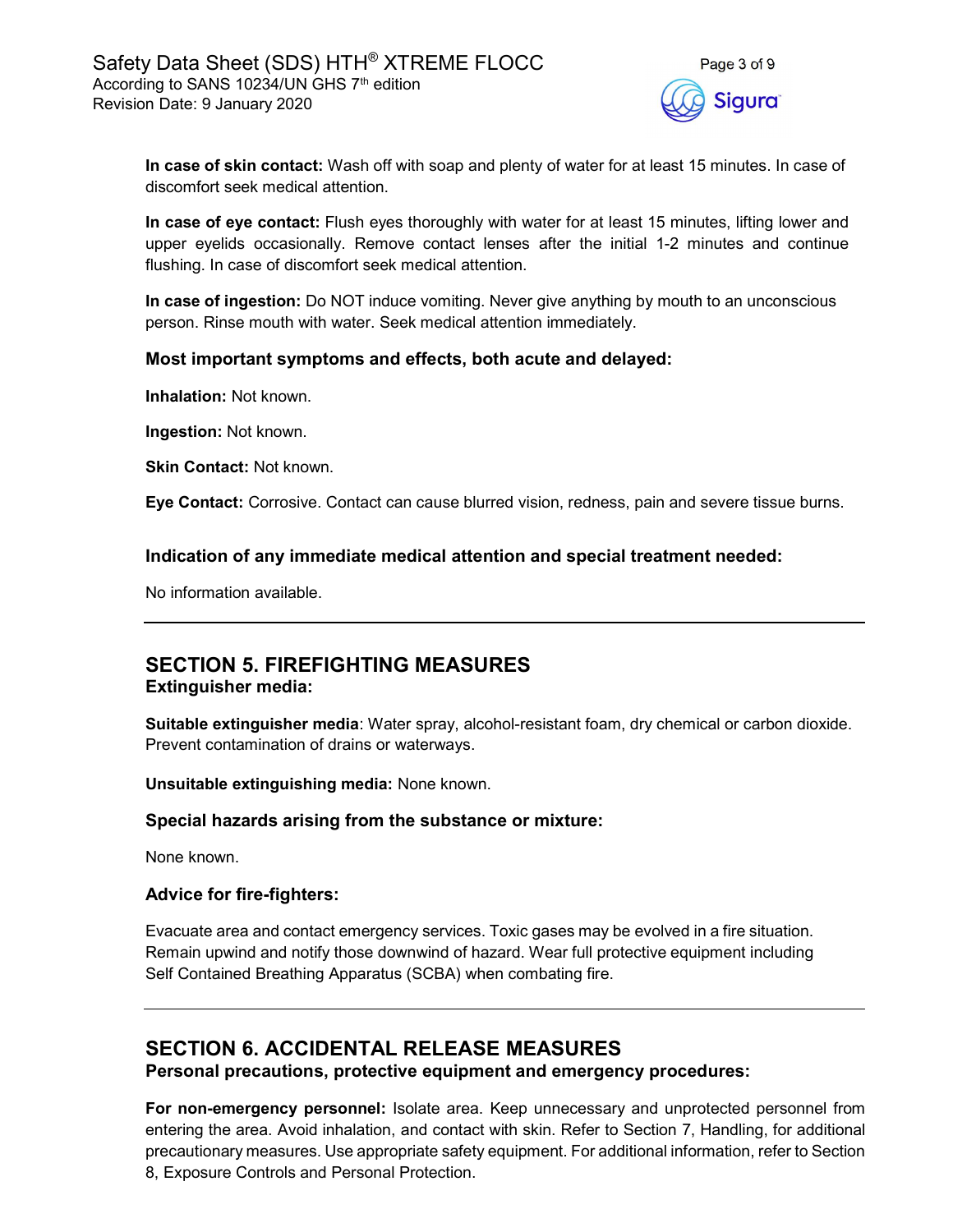

In case of skin contact: Wash off with soap and plenty of water for at least 15 minutes. In case of discomfort seek medical attention.

In case of eye contact: Flush eyes thoroughly with water for at least 15 minutes, lifting lower and upper eyelids occasionally. Remove contact lenses after the initial 1-2 minutes and continue flushing. In case of discomfort seek medical attention.

In case of ingestion: Do NOT induce vomiting. Never give anything by mouth to an unconscious person. Rinse mouth with water. Seek medical attention immediately.

### Most important symptoms and effects, both acute and delayed:

Inhalation: Not known.

Ingestion: Not known.

Skin Contact: Not known.

Eye Contact: Corrosive. Contact can cause blurred vision, redness, pain and severe tissue burns.

### Indication of any immediate medical attention and special treatment needed:

No information available.

## SECTION 5. FIREFIGHTING MEASURES Extinguisher media:

Suitable extinguisher media: Water spray, alcohol-resistant foam, dry chemical or carbon dioxide. Prevent contamination of drains or waterways.

Unsuitable extinguishing media: None known.

### Special hazards arising from the substance or mixture:

None known.

### Advice for fire-fighters:

Evacuate area and contact emergency services. Toxic gases may be evolved in a fire situation. Remain upwind and notify those downwind of hazard. Wear full protective equipment including Self Contained Breathing Apparatus (SCBA) when combating fire.

# SECTION 6. ACCIDENTAL RELEASE MEASURES

Personal precautions, protective equipment and emergency procedures:

For non-emergency personnel: Isolate area. Keep unnecessary and unprotected personnel from entering the area. Avoid inhalation, and contact with skin. Refer to Section 7, Handling, for additional precautionary measures. Use appropriate safety equipment. For additional information, refer to Section 8, Exposure Controls and Personal Protection.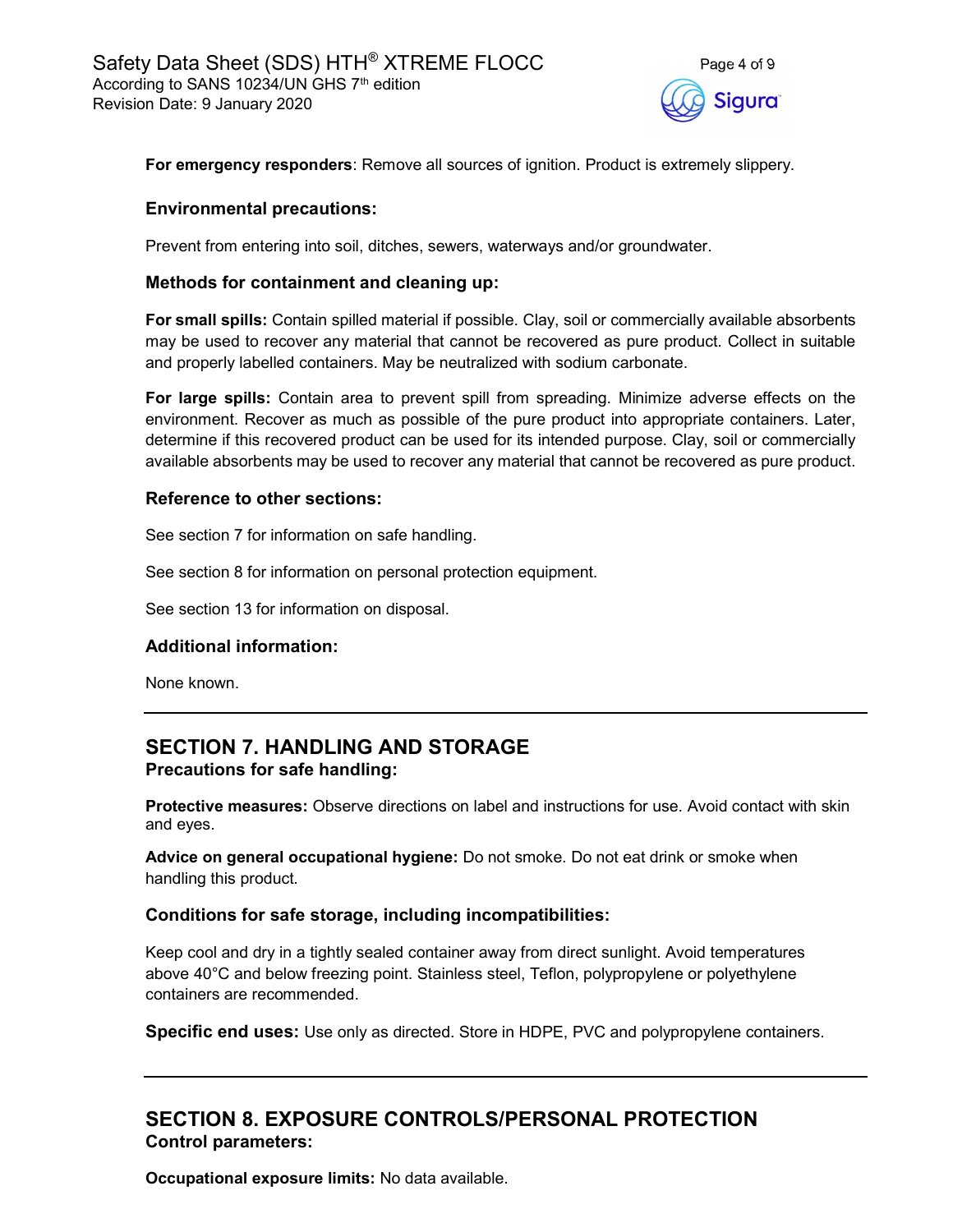

For emergency responders: Remove all sources of ignition. Product is extremely slippery.

### Environmental precautions:

Prevent from entering into soil, ditches, sewers, waterways and/or groundwater.

### Methods for containment and cleaning up:

For small spills: Contain spilled material if possible. Clay, soil or commercially available absorbents may be used to recover any material that cannot be recovered as pure product. Collect in suitable and properly labelled containers. May be neutralized with sodium carbonate.

For large spills: Contain area to prevent spill from spreading. Minimize adverse effects on the environment. Recover as much as possible of the pure product into appropriate containers. Later, determine if this recovered product can be used for its intended purpose. Clay, soil or commercially available absorbents may be used to recover any material that cannot be recovered as pure product.

### Reference to other sections:

See section 7 for information on safe handling.

See section 8 for information on personal protection equipment.

See section 13 for information on disposal.

### Additional information:

None known.

# SECTION 7. HANDLING AND STORAGE Precautions for safe handling:

Protective measures: Observe directions on label and instructions for use. Avoid contact with skin and eyes.

Advice on general occupational hygiene: Do not smoke. Do not eat drink or smoke when handling this product.

### Conditions for safe storage, including incompatibilities:

Keep cool and dry in a tightly sealed container away from direct sunlight. Avoid temperatures above 40°C and below freezing point. Stainless steel, Teflon, polypropylene or polyethylene containers are recommended.

**Specific end uses:** Use only as directed. Store in HDPE, PVC and polypropylene containers.

# SECTION 8. EXPOSURE CONTROLS/PERSONAL PROTECTION Control parameters:

Occupational exposure limits: No data available.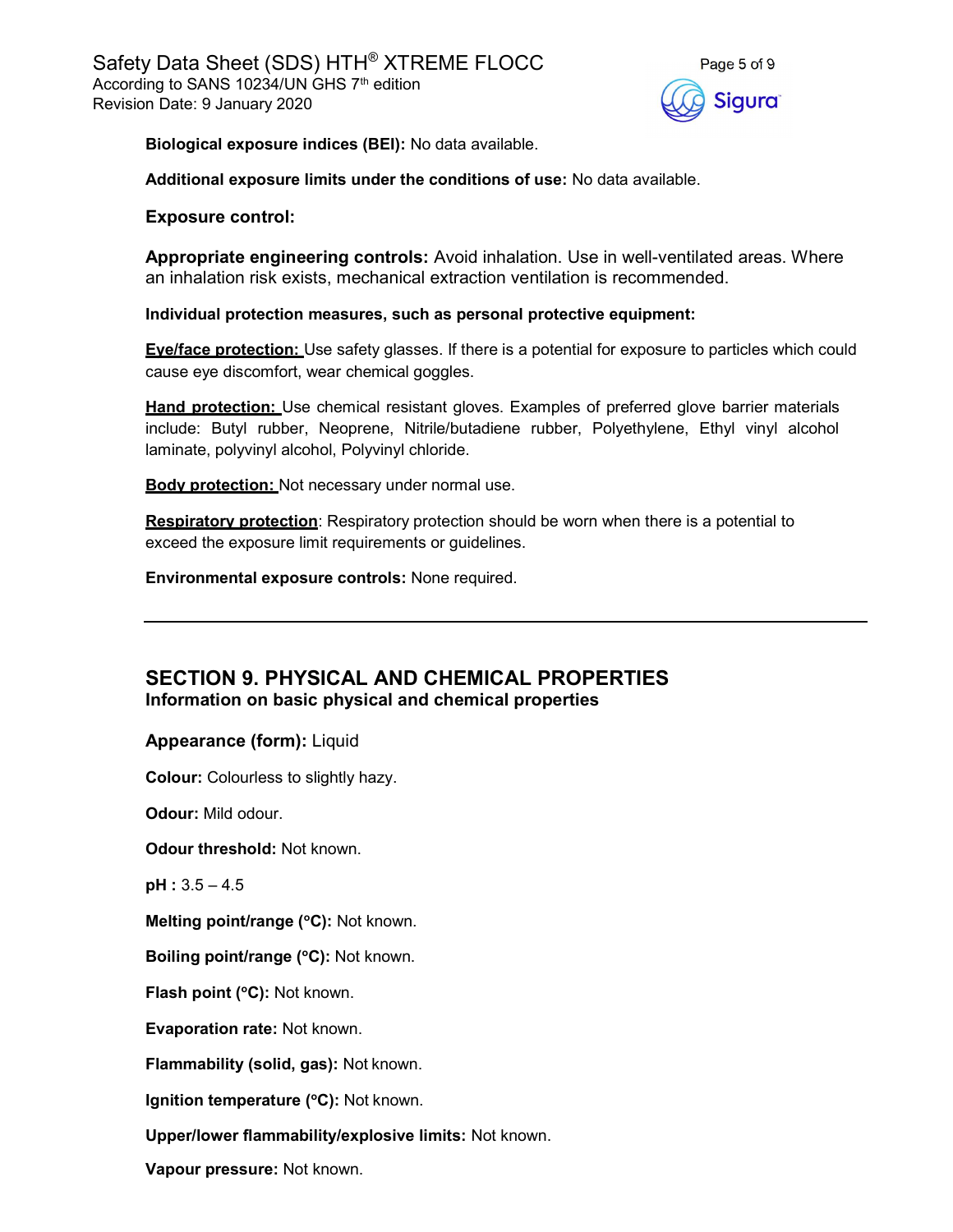

Biological exposure indices (BEI): No data available.

Additional exposure limits under the conditions of use: No data available.

#### Exposure control:

Appropriate engineering controls: Avoid inhalation. Use in well-ventilated areas. Where an inhalation risk exists, mechanical extraction ventilation is recommended.

Individual protection measures, such as personal protective equipment:

Eve/face protection: Use safety glasses. If there is a potential for exposure to particles which could cause eye discomfort, wear chemical goggles.

**Hand protection:** Use chemical resistant gloves. Examples of preferred glove barrier materials include: Butyl rubber, Neoprene, Nitrile/butadiene rubber, Polyethylene, Ethyl vinyl alcohol laminate, polyvinyl alcohol, Polyvinyl chloride.

**Body protection:** Not necessary under normal use.

**Respiratory protection:** Respiratory protection should be worn when there is a potential to exceed the exposure limit requirements or guidelines.

Environmental exposure controls: None required.

## SECTION 9. PHYSICAL AND CHEMICAL PROPERTIES Information on basic physical and chemical properties

Appearance (form): Liquid

Colour: Colourless to slightly hazy.

Odour: Mild odour.

Odour threshold: Not known.

pH : 3.5 – 4.5

Melting point/range (°C): Not known.

Boiling point/range (°C): Not known.

Flash point (°C): Not known.

Evaporation rate: Not known.

Flammability (solid, gas): Not known.

Ignition temperature  $(°C)$ : Not known.

Upper/lower flammability/explosive limits: Not known.

Vapour pressure: Not known.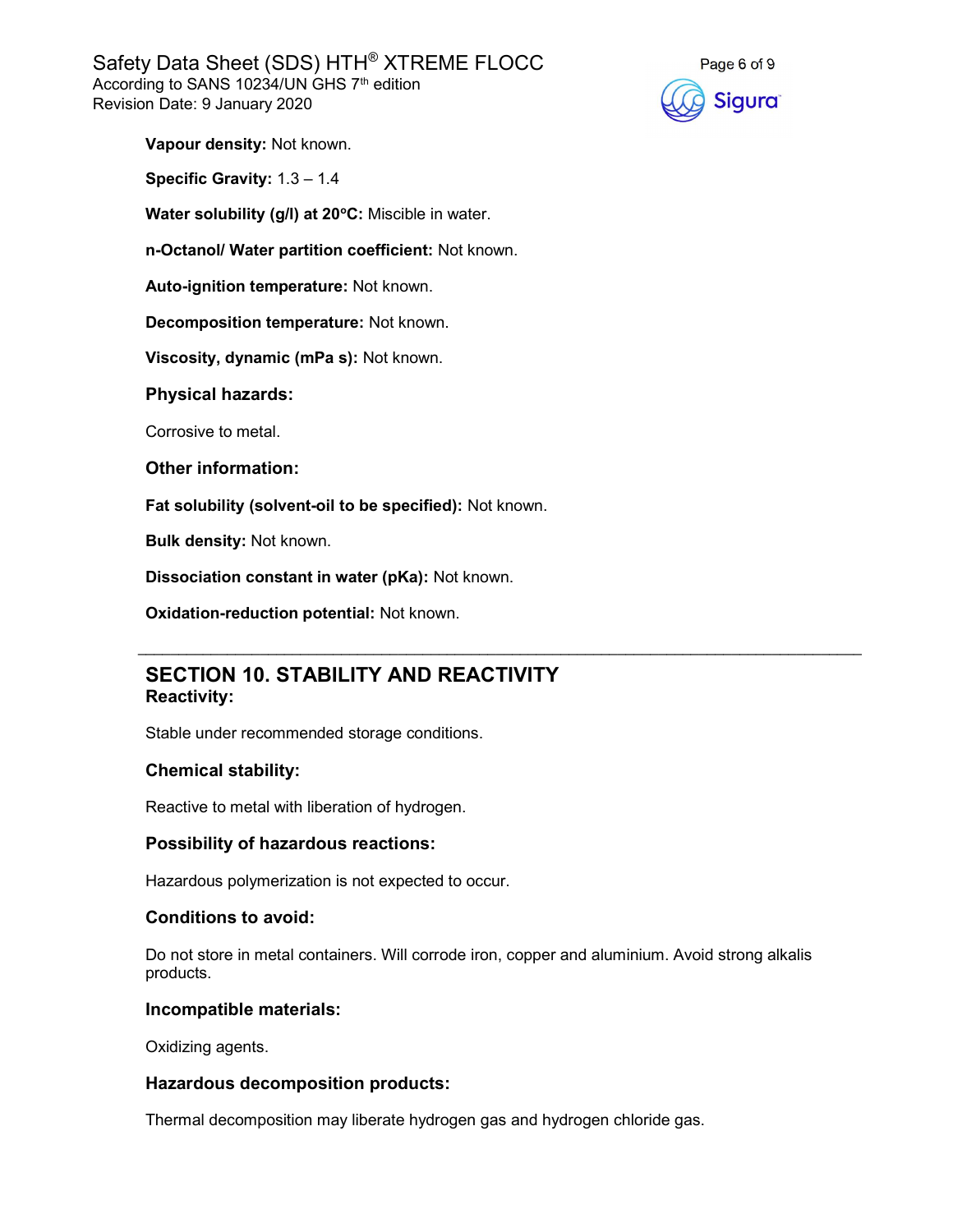Safety Data Sheet (SDS) HTH® XTREME FLOCC According to SANS 10234/UN GHS 7<sup>th</sup> edition Revision Date: 9 January 2020



Vapour density: Not known.

Specific Gravity: 1.3 – 1.4

Water solubility (g/l) at 20°C: Miscible in water.

n-Octanol/ Water partition coefficient: Not known.

Auto-ignition temperature: Not known.

Decomposition temperature: Not known.

Viscosity, dynamic (mPa s): Not known.

Physical hazards:

Corrosive to metal.

#### Other information:

Fat solubility (solvent-oil to be specified): Not known.

Bulk density: Not known.

Dissociation constant in water (pKa): Not known.

Oxidation-reduction potential: Not known.

## SECTION 10. STABILITY AND REACTIVITY Reactivity:

Stable under recommended storage conditions.

### Chemical stability:

Reactive to metal with liberation of hydrogen.

### Possibility of hazardous reactions:

Hazardous polymerization is not expected to occur.

### Conditions to avoid:

Do not store in metal containers. Will corrode iron, copper and aluminium. Avoid strong alkalis products.

 $\mathcal{L}_\mathcal{L} = \mathcal{L}_\mathcal{L} = \mathcal{L}_\mathcal{L} = \mathcal{L}_\mathcal{L} = \mathcal{L}_\mathcal{L} = \mathcal{L}_\mathcal{L} = \mathcal{L}_\mathcal{L} = \mathcal{L}_\mathcal{L} = \mathcal{L}_\mathcal{L} = \mathcal{L}_\mathcal{L} = \mathcal{L}_\mathcal{L} = \mathcal{L}_\mathcal{L} = \mathcal{L}_\mathcal{L} = \mathcal{L}_\mathcal{L} = \mathcal{L}_\mathcal{L} = \mathcal{L}_\mathcal{L} = \mathcal{L}_\mathcal{L}$ 

#### Incompatible materials:

Oxidizing agents.

### Hazardous decomposition products:

Thermal decomposition may liberate hydrogen gas and hydrogen chloride gas.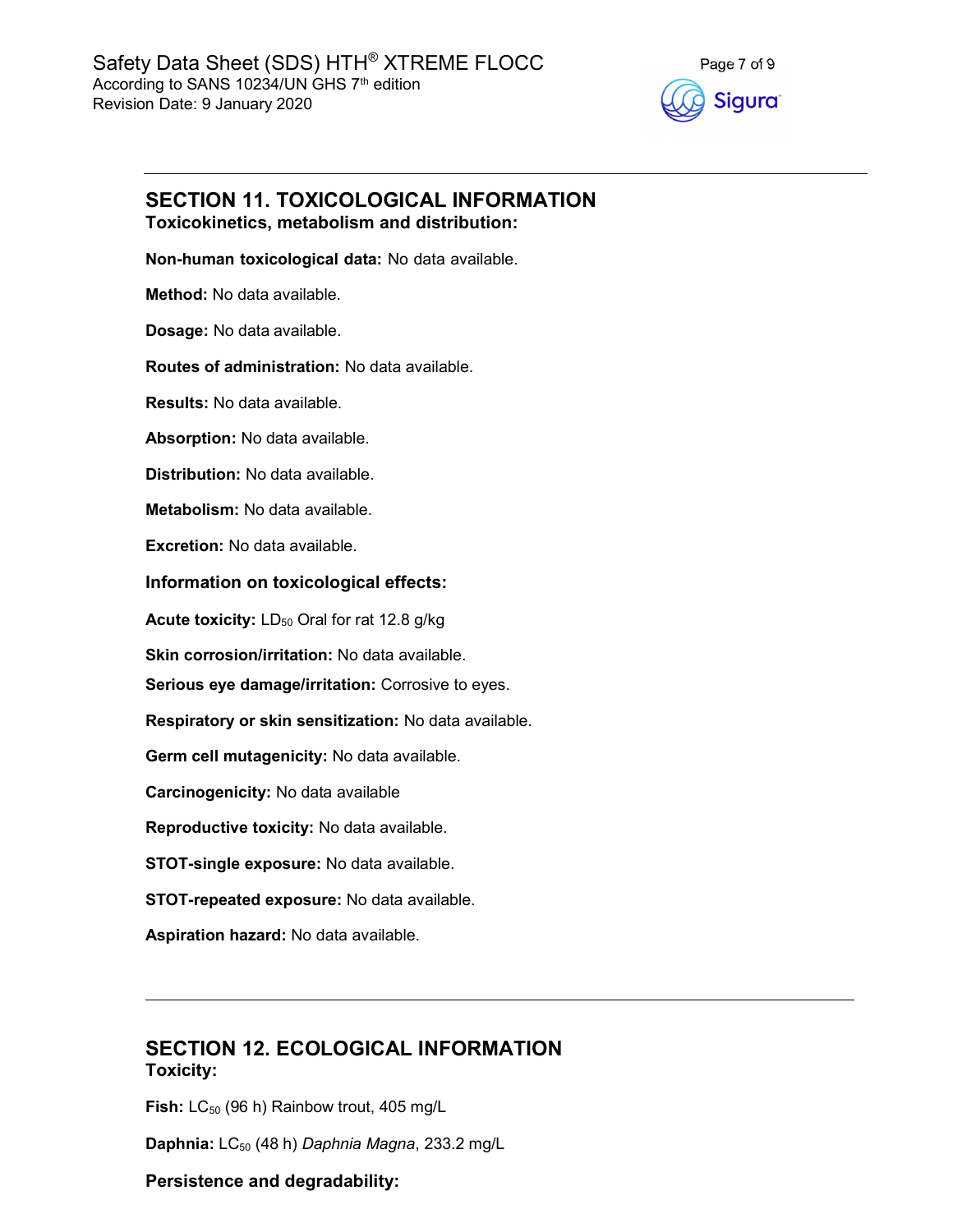

## SECTION 11. TOXICOLOGICAL INFORMATION Toxicokinetics, metabolism and distribution:

Non-human toxicological data: No data available.

Method: No data available.

Dosage: No data available.

Routes of administration: No data available.

Results: No data available.

Absorption: No data available.

Distribution: No data available.

Metabolism: No data available.

Excretion: No data available.

### Information on toxicological effects:

Acute toxicity: LD<sub>50</sub> Oral for rat 12.8 g/kg

Skin corrosion/irritation: No data available.

Serious eye damage/irritation: Corrosive to eyes.

Respiratory or skin sensitization: No data available.

Germ cell mutagenicity: No data available.

Carcinogenicity: No data available

Reproductive toxicity: No data available.

STOT-single exposure: No data available.

STOT-repeated exposure: No data available.

Aspiration hazard: No data available.

## SECTION 12. ECOLOGICAL INFORMATION Toxicity:

Fish:  $LC_{50}$  (96 h) Rainbow trout, 405 mg/L

Daphnia:  $LC_{50}$  (48 h) Daphnia Magna, 233.2 mg/L

### Persistence and degradability: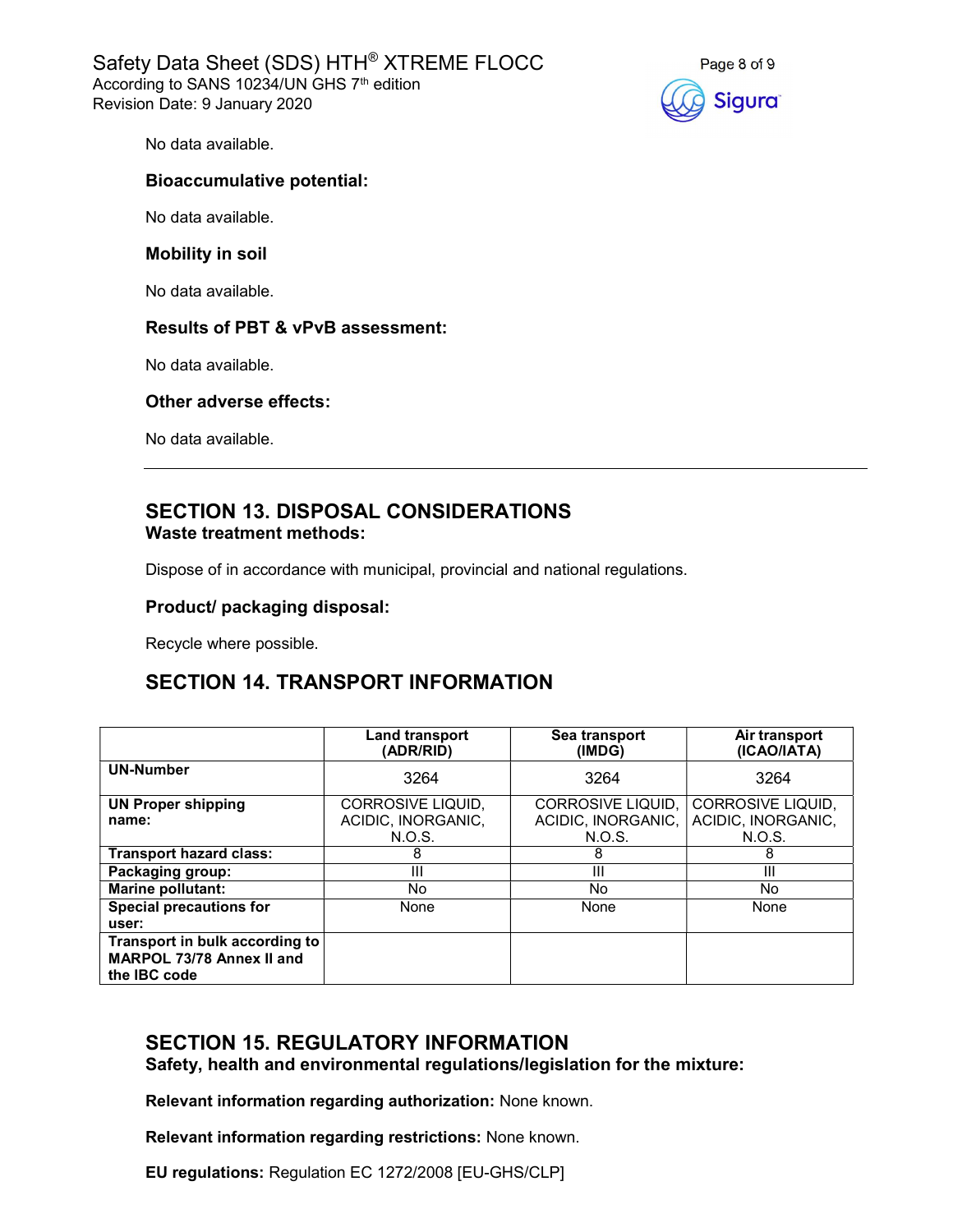Safety Data Sheet (SDS) HTH® XTREME FLOCC According to SANS 10234/UN GHS 7<sup>th</sup> edition Revision Date: 9 January 2020



No data available.

### Bioaccumulative potential:

No data available.

#### Mobility in soil

No data available.

#### Results of PBT & vPvB assessment:

No data available.

#### Other adverse effects:

No data available.

## SECTION 13. DISPOSAL CONSIDERATIONS Waste treatment methods:

Dispose of in accordance with municipal, provincial and national regulations.

#### Product/ packaging disposal:

Recycle where possible.

## SECTION 14. TRANSPORT INFORMATION

|                                                                             | Land transport<br>Sea transport<br>(ADR/RID)<br>(IMDG) |                                                   | Air transport<br>(ICAO/IATA)                             |
|-----------------------------------------------------------------------------|--------------------------------------------------------|---------------------------------------------------|----------------------------------------------------------|
| <b>UN-Number</b>                                                            | 3264                                                   | 3264                                              | 3264                                                     |
| <b>UN Proper shipping</b><br>name:                                          | CORROSIVE LIQUID,<br>ACIDIC. INORGANIC.<br>N.O.S.      | CORROSIVE LIQUID.<br>ACIDIC. INORGANIC.<br>N.O.S. | <b>CORROSIVE LIQUID.</b><br>ACIDIC. INORGANIC.<br>N.O.S. |
| <b>Transport hazard class:</b>                                              | 8                                                      | 8                                                 | 8                                                        |
| Packaging group:                                                            | Ш                                                      | Ш                                                 | Ш                                                        |
| Marine pollutant:                                                           | No.                                                    | No.                                               | No                                                       |
| <b>Special precautions for</b><br>user:                                     | None                                                   | None                                              | None                                                     |
| Transport in bulk according to<br>MARPOL 73/78 Annex II and<br>the IBC code |                                                        |                                                   |                                                          |

# SECTION 15. REGULATORY INFORMATION

Safety, health and environmental regulations/legislation for the mixture:

Relevant information regarding authorization: None known.

Relevant information regarding restrictions: None known.

EU regulations: Regulation EC 1272/2008 [EU-GHS/CLP]